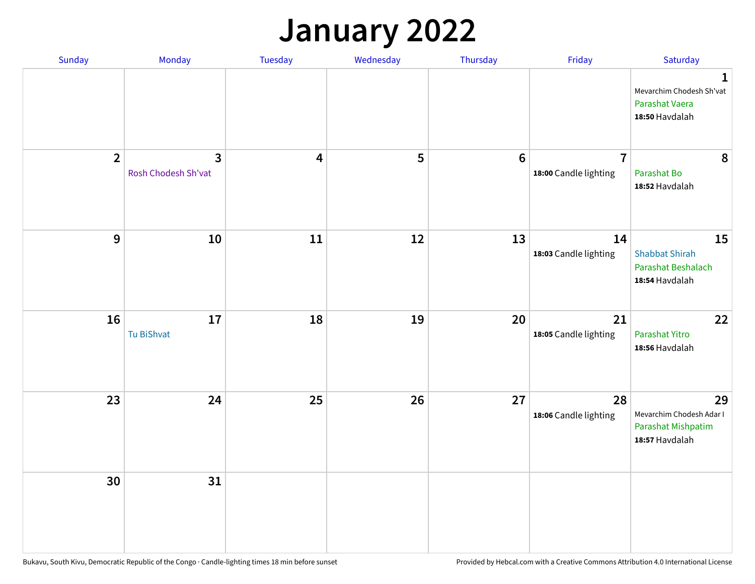## **January 2022**

| Sunday         | Monday                              | Tuesday                 | Wednesday | Thursday        | Friday                                  | Saturday                                                                     |
|----------------|-------------------------------------|-------------------------|-----------|-----------------|-----------------------------------------|------------------------------------------------------------------------------|
|                |                                     |                         |           |                 |                                         | $\mathbf{1}$<br>Mevarchim Chodesh Sh'vat<br>Parashat Vaera<br>18:50 Havdalah |
| $\overline{2}$ | $\mathbf{3}$<br>Rosh Chodesh Sh'vat | $\overline{\mathbf{4}}$ | 5         | $6\phantom{1}6$ | $\overline{7}$<br>18:00 Candle lighting | 8<br>Parashat Bo<br>18:52 Havdalah                                           |
| $\mathbf{9}$   | 10                                  | 11                      | 12        | 13              | 14<br>18:03 Candle lighting             | 15<br><b>Shabbat Shirah</b><br>Parashat Beshalach<br>18:54 Havdalah          |
| 16             | 17<br>Tu BiShvat                    | 18                      | 19        | 20              | 21<br>18:05 Candle lighting             | 22<br>Parashat Yitro<br>18:56 Havdalah                                       |
| 23             | 24                                  | 25                      | 26        | 27              | 28<br>18:06 Candle lighting             | 29<br>Mevarchim Chodesh Adar I<br>Parashat Mishpatim<br>18:57 Havdalah       |
| 30             | 31                                  |                         |           |                 |                                         |                                                                              |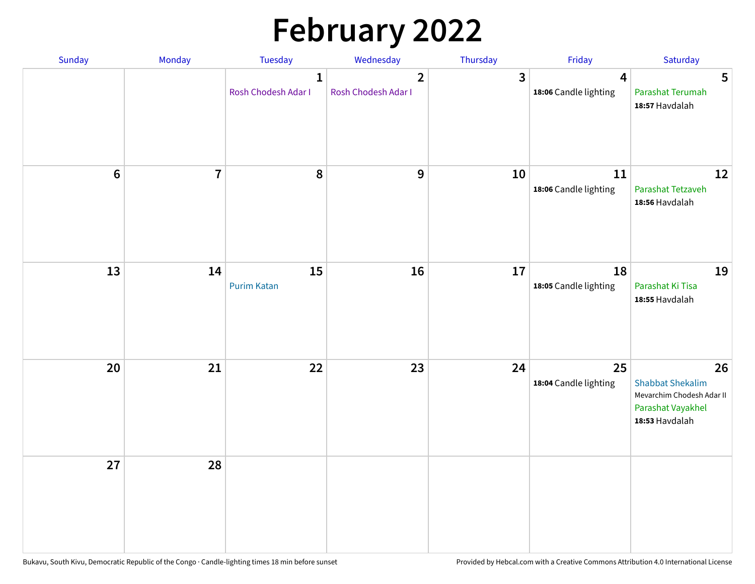# **February 2022**

| Sunday           | Monday         | Tuesday                             | Wednesday                             | Thursday | Friday                                           | Saturday                                                                                          |
|------------------|----------------|-------------------------------------|---------------------------------------|----------|--------------------------------------------------|---------------------------------------------------------------------------------------------------|
|                  |                | $\mathbf{1}$<br>Rosh Chodesh Adar I | $\overline{2}$<br>Rosh Chodesh Adar I | 3        | $\overline{\mathbf{4}}$<br>18:06 Candle lighting | $5\phantom{.0}$<br>Parashat Terumah<br>18:57 Havdalah                                             |
| $\boldsymbol{6}$ | $\overline{7}$ | 8                                   | $\mathbf 9$                           | 10       | 11<br>18:06 Candle lighting                      | 12<br>Parashat Tetzaveh<br>18:56 Havdalah                                                         |
| 13               | 14             | 15<br><b>Purim Katan</b>            | 16                                    | 17       | 18<br>18:05 Candle lighting                      | 19<br>Parashat Ki Tisa<br>18:55 Havdalah                                                          |
| 20               | 21             | 22                                  | 23                                    | 24       | 25<br>18:04 Candle lighting                      | 26<br><b>Shabbat Shekalim</b><br>Mevarchim Chodesh Adar II<br>Parashat Vayakhel<br>18:53 Havdalah |
| 27               | 28             |                                     |                                       |          |                                                  |                                                                                                   |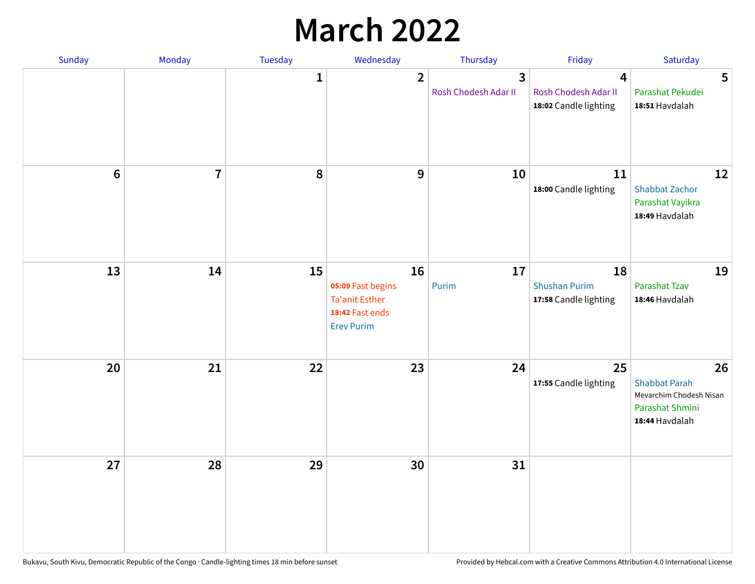## **March 2022**

| Sunday           | Monday         | Tuesday      | Wednesday                                                                                | Thursday                  | Friday                                              | Saturday                                                                                   |
|------------------|----------------|--------------|------------------------------------------------------------------------------------------|---------------------------|-----------------------------------------------------|--------------------------------------------------------------------------------------------|
|                  |                | $\mathbf{1}$ | $\overline{2}$                                                                           | 3<br>Rosh Chodesh Adar II | 4<br>Rosh Chodesh Adar II<br>18:02 Candle lighting  | 5<br>Parashat Pekudei<br>18:51 Havdalah                                                    |
| $\boldsymbol{6}$ | $\overline{7}$ | 8            | $\boldsymbol{9}$                                                                         | 10                        | 11<br>18:00 Candle lighting                         | 12<br><b>Shabbat Zachor</b><br>Parashat Vayikra<br>18:49 Havdalah                          |
| 13               | 14             | 15           | 16<br>05:09 Fast begins<br><b>Ta'anit Esther</b><br>18:42 Fast ends<br><b>Erev Purim</b> | 17<br>Purim               | 18<br><b>Shushan Purim</b><br>17:58 Candle lighting | 19<br>Parashat Tzav<br>18:46 Havdalah                                                      |
| 20               | 21             | 22           | 23                                                                                       | 24                        | 25<br>17:55 Candle lighting                         | 26<br><b>Shabbat Parah</b><br>Mevarchim Chodesh Nisan<br>Parashat Shmini<br>18:44 Havdalah |
| 27               | 28             | 29           | 30                                                                                       | 31                        |                                                     |                                                                                            |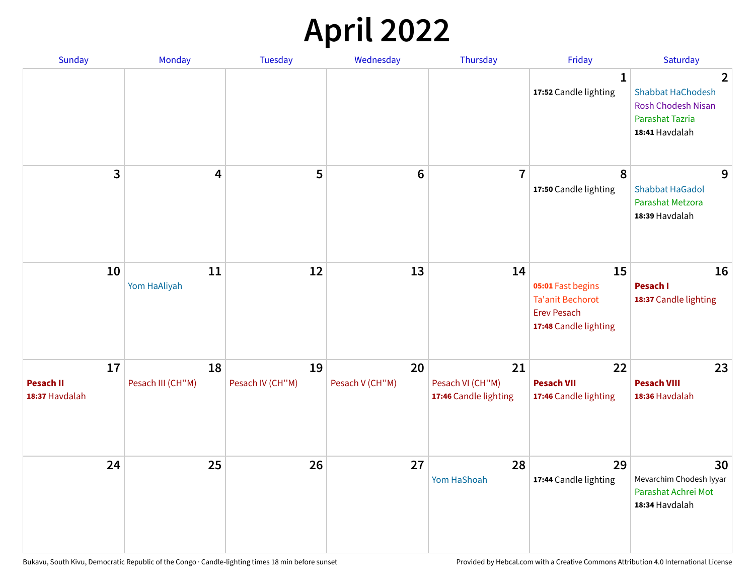## **April 2022**

| Sunday                                   | <b>Monday</b>           | Tuesday                | Wednesday             | Thursday                                        | Friday                                                                                            | Saturday                                                                                                            |
|------------------------------------------|-------------------------|------------------------|-----------------------|-------------------------------------------------|---------------------------------------------------------------------------------------------------|---------------------------------------------------------------------------------------------------------------------|
|                                          |                         |                        |                       |                                                 | $\mathbf{1}$<br>17:52 Candle lighting                                                             | $\overline{2}$<br><b>Shabbat HaChodesh</b><br><b>Rosh Chodesh Nisan</b><br><b>Parashat Tazria</b><br>18:41 Havdalah |
| 3                                        | 4                       | 5                      | $6\phantom{1}6$       | $\overline{7}$                                  | 8<br>17:50 Candle lighting                                                                        | 9<br><b>Shabbat HaGadol</b><br>Parashat Metzora<br>18:39 Havdalah                                                   |
| 10                                       | 11<br>Yom HaAliyah      | 12                     | 13                    | 14                                              | 15<br>05:01 Fast begins<br><b>Ta'anit Bechorot</b><br><b>Erev Pesach</b><br>17:48 Candle lighting | 16<br>Pesach I<br>18:37 Candle lighting                                                                             |
| 17<br><b>Pesach II</b><br>18:37 Havdalah | 18<br>Pesach III (CH"M) | 19<br>Pesach IV (CH"M) | 20<br>Pesach V (CH"M) | 21<br>Pesach VI (CH"M)<br>17:46 Candle lighting | 22<br><b>Pesach VII</b><br>17:46 Candle lighting                                                  | 23<br><b>Pesach VIII</b><br>18:36 Havdalah                                                                          |
| 24                                       | 25                      | 26                     | 27                    | 28<br>Yom HaShoah                               | 29<br>17:44 Candle lighting                                                                       | 30<br>Mevarchim Chodesh Iyyar<br>Parashat Achrei Mot<br>18:34 Havdalah                                              |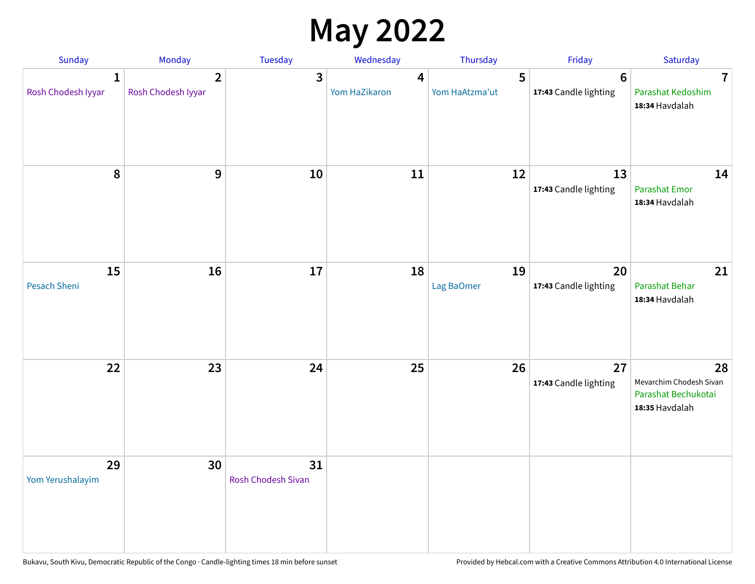## **May 2022**

| Sunday                             | Monday                               | Tuesday                  | Wednesday                                | Thursday            | Friday                                   | Saturday                                                               |
|------------------------------------|--------------------------------------|--------------------------|------------------------------------------|---------------------|------------------------------------------|------------------------------------------------------------------------|
| $\mathbf{1}$<br>Rosh Chodesh Iyyar | $\overline{2}$<br>Rosh Chodesh Iyyar | 3                        | $\overline{\mathbf{4}}$<br>Yom HaZikaron | 5<br>Yom HaAtzma'ut | $6\phantom{1}6$<br>17:43 Candle lighting | $\overline{7}$<br>Parashat Kedoshim<br>18:34 Havdalah                  |
| $\pmb{8}$                          | $\mathbf{9}$                         | 10                       | 11                                       | 12                  | 13<br>17:43 Candle lighting              | 14<br><b>Parashat Emor</b><br>18:34 Havdalah                           |
| 15<br>Pesach Sheni                 | 16                                   | 17                       | 18                                       | 19<br>Lag BaOmer    | 20<br>17:43 Candle lighting              | 21<br>Parashat Behar<br>18:34 Havdalah                                 |
| 22                                 | 23                                   | 24                       | 25                                       | 26                  | 27<br>17:43 Candle lighting              | 28<br>Mevarchim Chodesh Sivan<br>Parashat Bechukotai<br>18:35 Havdalah |
| 29<br>Yom Yerushalayim             | 30                                   | 31<br>Rosh Chodesh Sivan |                                          |                     |                                          |                                                                        |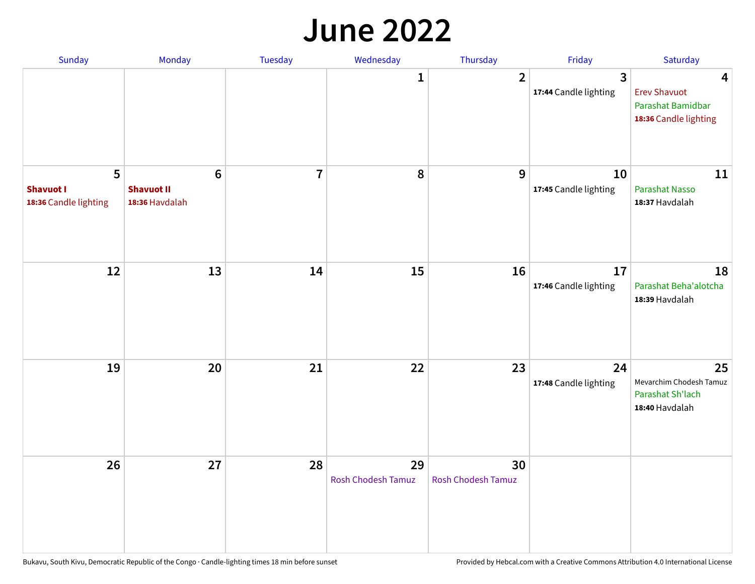#### **June 2022**

| Sunday                                         | Monday                                         | Tuesday        | Wednesday                       | Thursday                        | Friday                      | Saturday                                                               |
|------------------------------------------------|------------------------------------------------|----------------|---------------------------------|---------------------------------|-----------------------------|------------------------------------------------------------------------|
|                                                |                                                |                | 1                               | $\overline{2}$                  | 3<br>17:44 Candle lighting  | 4<br><b>Erev Shavuot</b><br>Parashat Bamidbar<br>18:36 Candle lighting |
| 5<br><b>Shavuot I</b><br>18:36 Candle lighting | $\bf 6$<br><b>Shavuot II</b><br>18:36 Havdalah | $\overline{7}$ | 8                               | 9                               | 10<br>17:45 Candle lighting | 11<br>Parashat Nasso<br>18:37 Havdalah                                 |
| 12                                             | 13                                             | 14             | 15                              | 16                              | 17<br>17:46 Candle lighting | 18<br>Parashat Beha'alotcha<br>18:39 Havdalah                          |
| 19                                             | 20                                             | 21             | 22                              | 23                              | 24<br>17:48 Candle lighting | 25<br>Mevarchim Chodesh Tamuz<br>Parashat Sh'lach<br>18:40 Havdalah    |
| 26                                             | 27                                             | 28             | 29<br><b>Rosh Chodesh Tamuz</b> | 30<br><b>Rosh Chodesh Tamuz</b> |                             |                                                                        |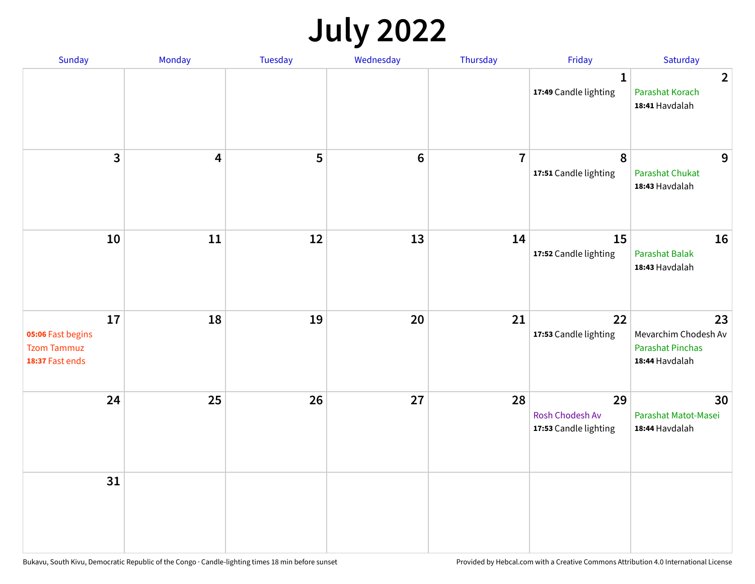## **July 2022**

| Sunday                                                           | Monday                  | Tuesday | Wednesday      | Thursday       | Friday                                         | Saturday                                                                |
|------------------------------------------------------------------|-------------------------|---------|----------------|----------------|------------------------------------------------|-------------------------------------------------------------------------|
|                                                                  |                         |         |                |                | $\mathbf{1}$<br>17:49 Candle lighting          | $\overline{2}$<br>Parashat Korach<br>18:41 Havdalah                     |
| $\overline{3}$                                                   | $\overline{\mathbf{4}}$ | 5       | $6\phantom{1}$ | $\overline{7}$ | 8<br>17:51 Candle lighting                     | 9<br><b>Parashat Chukat</b><br>18:43 Havdalah                           |
| 10                                                               | 11                      | 12      | 13             | 14             | 15<br>17:52 Candle lighting                    | 16<br><b>Parashat Balak</b><br>18:43 Havdalah                           |
| 17<br>05:06 Fast begins<br><b>Tzom Tammuz</b><br>18:37 Fast ends | 18                      | 19      | 20             | 21             | 22<br>17:53 Candle lighting                    | 23<br>Mevarchim Chodesh Av<br><b>Parashat Pinchas</b><br>18:44 Havdalah |
| 24                                                               | 25                      | 26      | 27             | 28             | 29<br>Rosh Chodesh Av<br>17:53 Candle lighting | 30<br>Parashat Matot-Masei<br>18:44 Havdalah                            |
| 31                                                               |                         |         |                |                |                                                |                                                                         |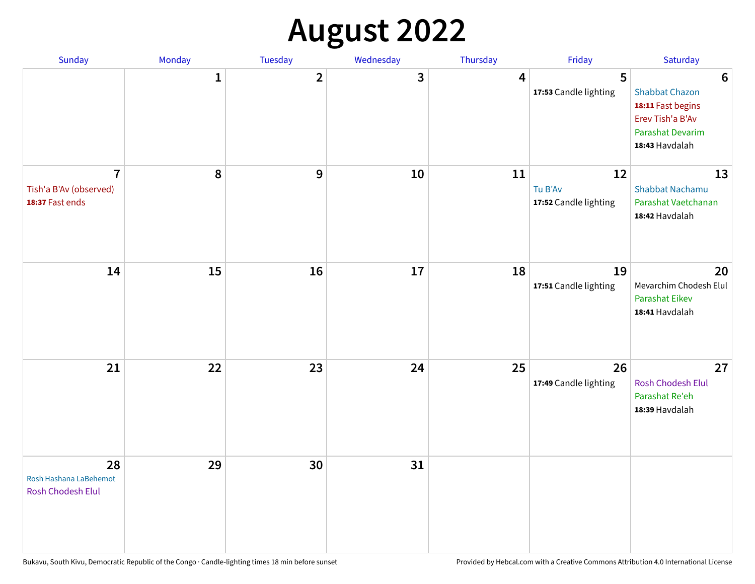## **August 2022**

| Sunday                                                      | Monday       | Tuesday      | Wednesday | Thursday | Friday                                 | Saturday                                                                                                                       |
|-------------------------------------------------------------|--------------|--------------|-----------|----------|----------------------------------------|--------------------------------------------------------------------------------------------------------------------------------|
|                                                             | $\mathbf{1}$ | $\mathbf{2}$ | 3         | 4        | 5<br>17:53 Candle lighting             | $6\phantom{1}6$<br><b>Shabbat Chazon</b><br>18:11 Fast begins<br>Erev Tish'a B'Av<br><b>Parashat Devarim</b><br>18:43 Havdalah |
| $\overline{7}$<br>Tish'a B'Av (observed)<br>18:37 Fast ends | ${\bf 8}$    | 9            | 10        | 11       | 12<br>Tu B'Av<br>17:52 Candle lighting | 13<br>Shabbat Nachamu<br>Parashat Vaetchanan<br>18:42 Havdalah                                                                 |
| 14                                                          | 15           | 16           | 17        | 18       | 19<br>17:51 Candle lighting            | 20<br>Mevarchim Chodesh Elul<br>Parashat Eikev<br>18:41 Havdalah                                                               |
| 21                                                          | 22           | 23           | 24        | 25       | 26<br>17:49 Candle lighting            | 27<br><b>Rosh Chodesh Elul</b><br>Parashat Re'eh<br>18:39 Havdalah                                                             |
| 28<br>Rosh Hashana LaBehemot<br>Rosh Chodesh Elul           | 29           | 30           | 31        |          |                                        |                                                                                                                                |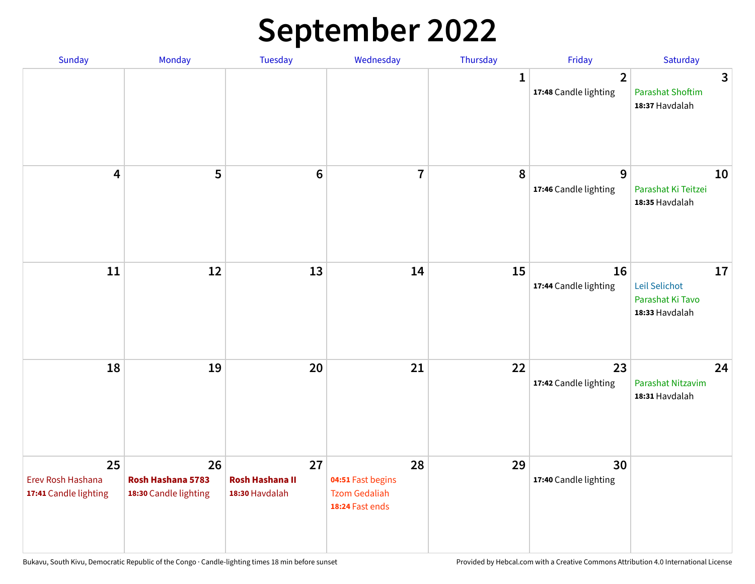## **September 2022**

| Sunday                                           | Monday                                           | Tuesday                                        | Wednesday                                                          | Thursday     | Friday                                  | Saturday                                                  |   |
|--------------------------------------------------|--------------------------------------------------|------------------------------------------------|--------------------------------------------------------------------|--------------|-----------------------------------------|-----------------------------------------------------------|---|
|                                                  |                                                  |                                                |                                                                    | $\mathbf{1}$ | $\overline{2}$<br>17:48 Candle lighting | <b>Parashat Shoftim</b><br>18:37 Havdalah                 | 3 |
| 4                                                | 5                                                | $6\phantom{1}6$                                | $\overline{\mathbf{7}}$                                            | 8            | 9<br>17:46 Candle lighting              | 10<br>Parashat Ki Teitzei<br>18:35 Havdalah               |   |
| 11                                               | 12                                               | 13                                             | 14                                                                 | 15           | 16<br>17:44 Candle lighting             | 17<br>Leil Selichot<br>Parashat Ki Tavo<br>18:33 Havdalah |   |
| 18                                               | 19                                               | 20                                             | 21                                                                 | 22           | 23<br>17:42 Candle lighting             | 24<br>Parashat Nitzavim<br>18:31 Havdalah                 |   |
| 25<br>Erev Rosh Hashana<br>17:41 Candle lighting | 26<br>Rosh Hashana 5783<br>18:30 Candle lighting | 27<br><b>Rosh Hashana II</b><br>18:30 Havdalah | 28<br>04:51 Fast begins<br><b>Tzom Gedaliah</b><br>18:24 Fast ends | 29           | 30<br>17:40 Candle lighting             |                                                           |   |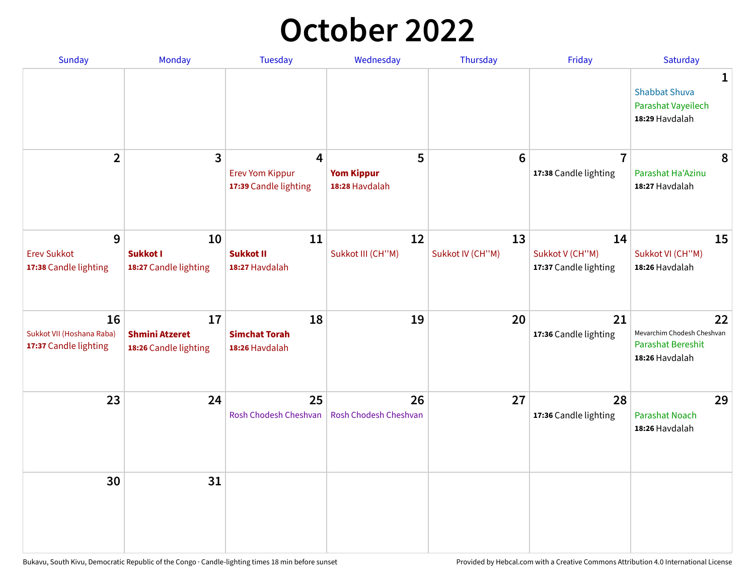## **October 2022**

| <b>Sunday</b>                                            | Monday                                               | <b>Tuesday</b>                                       | Wednesday                                | Thursday               | Friday                                         | Saturday                                                                       |
|----------------------------------------------------------|------------------------------------------------------|------------------------------------------------------|------------------------------------------|------------------------|------------------------------------------------|--------------------------------------------------------------------------------|
|                                                          |                                                      |                                                      |                                          |                        |                                                | 1<br><b>Shabbat Shuva</b><br>Parashat Vayeilech<br>18:29 Havdalah              |
| $\mathbf{2}$                                             | 3                                                    | 4<br><b>Erev Yom Kippur</b><br>17:39 Candle lighting | 5<br><b>Yom Kippur</b><br>18:28 Havdalah | 6                      | $\overline{7}$<br>17:38 Candle lighting        | 8<br>Parashat Ha'Azinu<br>18:27 Havdalah                                       |
| 9<br><b>Erev Sukkot</b><br>17:38 Candle lighting         | 10<br><b>Sukkot I</b><br>18:27 Candle lighting       | 11<br><b>Sukkot II</b><br>18:27 Havdalah             | 12<br>Sukkot III (CH"M)                  | 13<br>Sukkot IV (CH"M) | 14<br>Sukkot V (CH"M)<br>17:37 Candle lighting | 15<br>Sukkot VI (CH"M)<br>18:26 Havdalah                                       |
| 16<br>Sukkot VII (Hoshana Raba)<br>17:37 Candle lighting | 17<br><b>Shmini Atzeret</b><br>18:26 Candle lighting | 18<br><b>Simchat Torah</b><br>18:26 Havdalah         | 19                                       | 20                     | 21<br>17:36 Candle lighting                    | 22<br>Mevarchim Chodesh Cheshvan<br><b>Parashat Bereshit</b><br>18:26 Havdalah |
| 23                                                       | 24                                                   | 25<br>Rosh Chodesh Cheshvan                          | 26<br>Rosh Chodesh Cheshvan              | 27                     | 28<br>17:36 Candle lighting                    | 29<br>Parashat Noach<br>18:26 Havdalah                                         |
| 30                                                       | 31                                                   |                                                      |                                          |                        |                                                |                                                                                |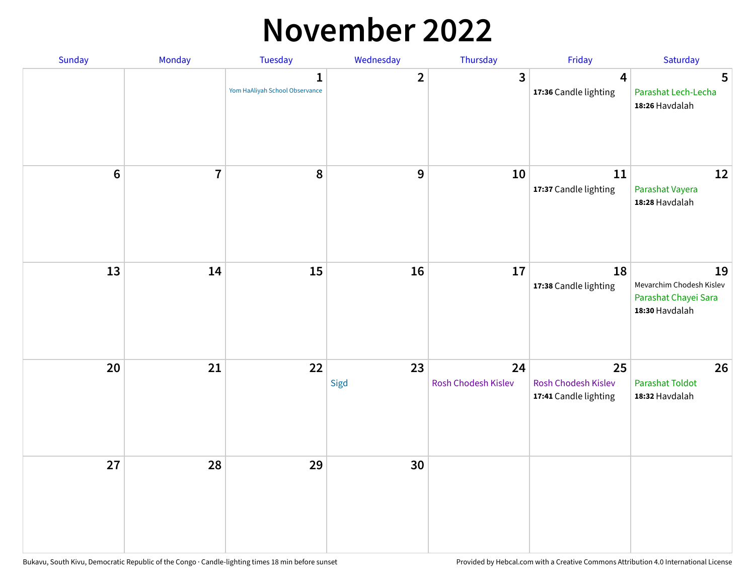#### **November 2022**

| Sunday  | Monday                  | <b>Tuesday</b>                                 | Wednesday               | Thursday                  | Friday                                             | Saturday                                                                 |
|---------|-------------------------|------------------------------------------------|-------------------------|---------------------------|----------------------------------------------------|--------------------------------------------------------------------------|
|         |                         | $\mathbf{1}$<br>Yom HaAliyah School Observance | $\overline{\mathbf{2}}$ | 3                         | $\overline{4}$<br>17:36 Candle lighting            | $5\phantom{1}$<br>Parashat Lech-Lecha<br>18:26 Havdalah                  |
| $\bf 6$ | $\overline{\mathbf{r}}$ | 8                                              | 9                       | 10                        | 11<br>17:37 Candle lighting                        | 12<br>Parashat Vayera<br>18:28 Havdalah                                  |
| 13      | 14                      | 15                                             | 16                      | 17                        | 18<br>17:38 Candle lighting                        | 19<br>Mevarchim Chodesh Kislev<br>Parashat Chayei Sara<br>18:30 Havdalah |
| 20      | 21                      | 22                                             | 23<br>Sigd              | 24<br>Rosh Chodesh Kislev | 25<br>Rosh Chodesh Kislev<br>17:41 Candle lighting | 26<br>Parashat Toldot<br>18:32 Havdalah                                  |
| 27      | 28                      | 29                                             | 30                      |                           |                                                    |                                                                          |